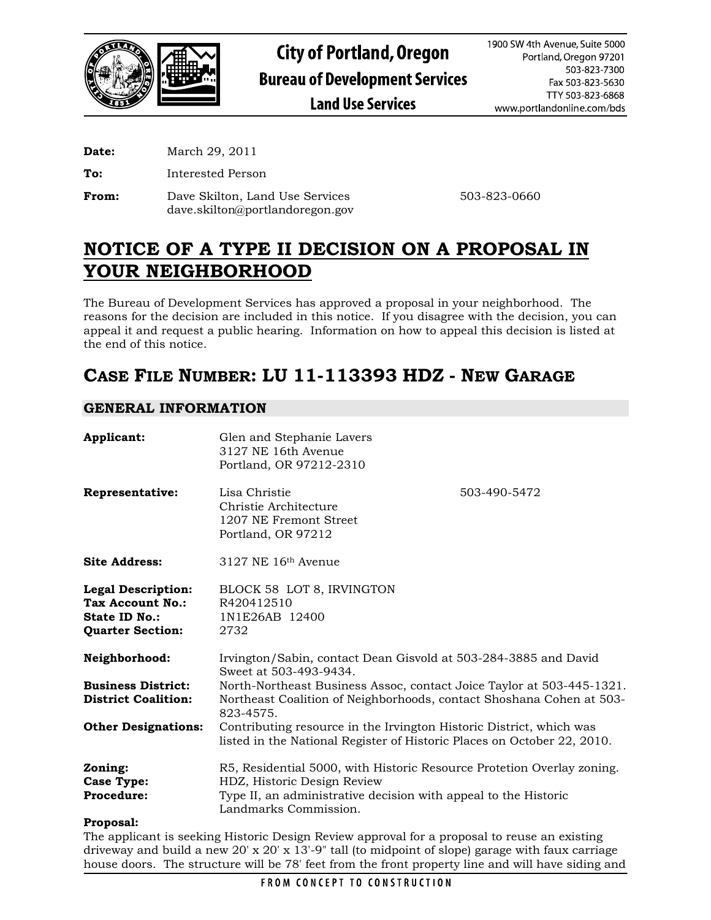

**Date:** March 29, 2011

**To:** Interested Person

**From:** Dave Skilton, Land Use Services 503-823-0660 dave.skilton@portlandoregon.gov

# **NOTICE OF A TYPE II DECISION ON A PROPOSAL IN YOUR NEIGHBORHOOD**

The Bureau of Development Services has approved a proposal in your neighborhood. The reasons for the decision are included in this notice. If you disagree with the decision, you can appeal it and request a public hearing. Information on how to appeal this decision is listed at the end of this notice.

# **CASE FILE NUMBER: LU 11-113393 HDZ - NEW GARAGE**

# **GENERAL INFORMATION**

| Applicant:                                                                                       | Glen and Stephanie Lavers<br>3127 NE 16th Avenue<br>Portland, OR 97212-2310                                                                                |              |  |
|--------------------------------------------------------------------------------------------------|------------------------------------------------------------------------------------------------------------------------------------------------------------|--------------|--|
| Representative:                                                                                  | Lisa Christie<br>Christie Architecture<br>1207 NE Fremont Street<br>Portland, OR 97212                                                                     | 503-490-5472 |  |
| <b>Site Address:</b>                                                                             | $3127$ NE $16th$ Avenue                                                                                                                                    |              |  |
| <b>Legal Description:</b><br>Tax Account No.:<br><b>State ID No.:</b><br><b>Quarter Section:</b> | BLOCK 58 LOT 8, IRVINGTON<br>R420412510<br>1N1E26AB 12400<br>2732                                                                                          |              |  |
| Neighborhood:                                                                                    | Irvington/Sabin, contact Dean Gisvold at 503-284-3885 and David<br>Sweet at 503-493-9434.                                                                  |              |  |
| <b>Business District:</b><br><b>District Coalition:</b>                                          | North-Northeast Business Assoc, contact Joice Taylor at 503-445-1321.<br>Northeast Coalition of Neighborhoods, contact Shoshana Cohen at 503-<br>823-4575. |              |  |
| <b>Other Designations:</b>                                                                       | Contributing resource in the Irvington Historic District, which was<br>listed in the National Register of Historic Places on October 22, 2010.             |              |  |
| Zoning:                                                                                          | R5, Residential 5000, with Historic Resource Protetion Overlay zoning.                                                                                     |              |  |
| <b>Case Type:</b>                                                                                | HDZ, Historic Design Review                                                                                                                                |              |  |
| <b>Procedure:</b>                                                                                | Type II, an administrative decision with appeal to the Historic<br>Landmarks Commission.                                                                   |              |  |
| $\mathbf{D}$ and $\mathbf{D}$ and $\mathbf{D}$ and $\mathbf{D}$                                  |                                                                                                                                                            |              |  |

## **Proposal:**

The applicant is seeking Historic Design Review approval for a proposal to reuse an existing driveway and build a new 20' x 20' x 13'-9" tall (to midpoint of slope) garage with faux carriage house doors. The structure will be 78' feet from the front property line and will have siding and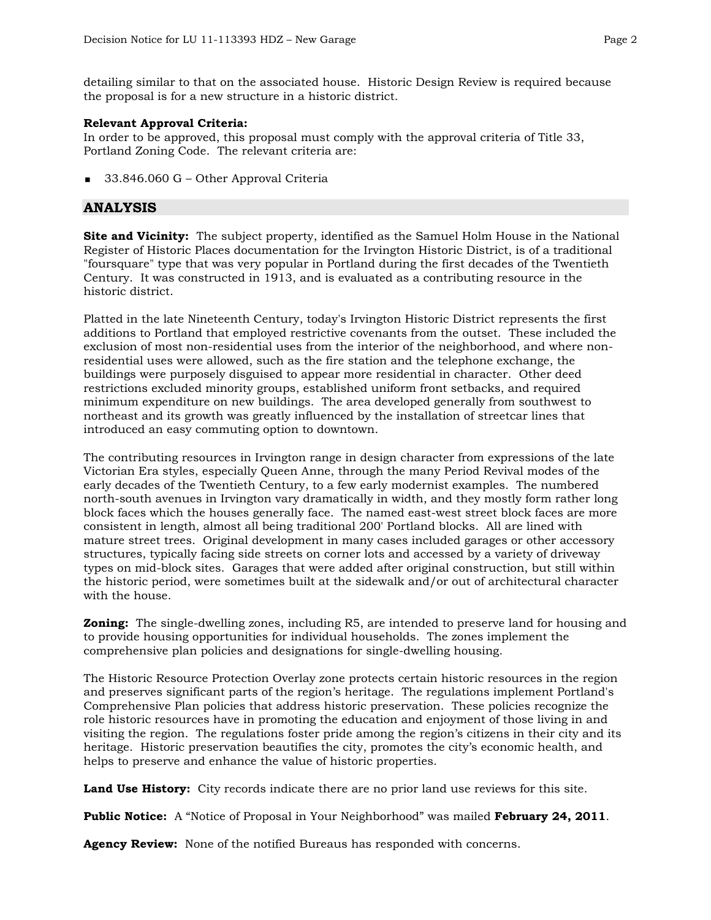detailing similar to that on the associated house. Historic Design Review is required because the proposal is for a new structure in a historic district.

## **Relevant Approval Criteria:**

In order to be approved, this proposal must comply with the approval criteria of Title 33, Portland Zoning Code. The relevant criteria are:

33.846.060 G – Other Approval Criteria

## **ANALYSIS**

**Site and Vicinity:** The subject property, identified as the Samuel Holm House in the National Register of Historic Places documentation for the Irvington Historic District, is of a traditional "foursquare" type that was very popular in Portland during the first decades of the Twentieth Century. It was constructed in 1913, and is evaluated as a contributing resource in the historic district.

Platted in the late Nineteenth Century, today's Irvington Historic District represents the first additions to Portland that employed restrictive covenants from the outset. These included the exclusion of most non-residential uses from the interior of the neighborhood, and where nonresidential uses were allowed, such as the fire station and the telephone exchange, the buildings were purposely disguised to appear more residential in character. Other deed restrictions excluded minority groups, established uniform front setbacks, and required minimum expenditure on new buildings. The area developed generally from southwest to northeast and its growth was greatly influenced by the installation of streetcar lines that introduced an easy commuting option to downtown.

The contributing resources in Irvington range in design character from expressions of the late Victorian Era styles, especially Queen Anne, through the many Period Revival modes of the early decades of the Twentieth Century, to a few early modernist examples. The numbered north-south avenues in Irvington vary dramatically in width, and they mostly form rather long block faces which the houses generally face. The named east-west street block faces are more consistent in length, almost all being traditional 200' Portland blocks. All are lined with mature street trees. Original development in many cases included garages or other accessory structures, typically facing side streets on corner lots and accessed by a variety of driveway types on mid-block sites. Garages that were added after original construction, but still within the historic period, were sometimes built at the sidewalk and/or out of architectural character with the house.

**Zoning:** The single-dwelling zones, including R5, are intended to preserve land for housing and to provide housing opportunities for individual households. The zones implement the comprehensive plan policies and designations for single-dwelling housing.

The Historic Resource Protection Overlay zone protects certain historic resources in the region and preserves significant parts of the region's heritage. The regulations implement Portland's Comprehensive Plan policies that address historic preservation. These policies recognize the role historic resources have in promoting the education and enjoyment of those living in and visiting the region. The regulations foster pride among the region's citizens in their city and its heritage. Historic preservation beautifies the city, promotes the city's economic health, and helps to preserve and enhance the value of historic properties.

**Land Use History:** City records indicate there are no prior land use reviews for this site.

**Public Notice:** A "Notice of Proposal in Your Neighborhood" was mailed **February 24, 2011**.

**Agency Review:** None of the notified Bureaus has responded with concerns.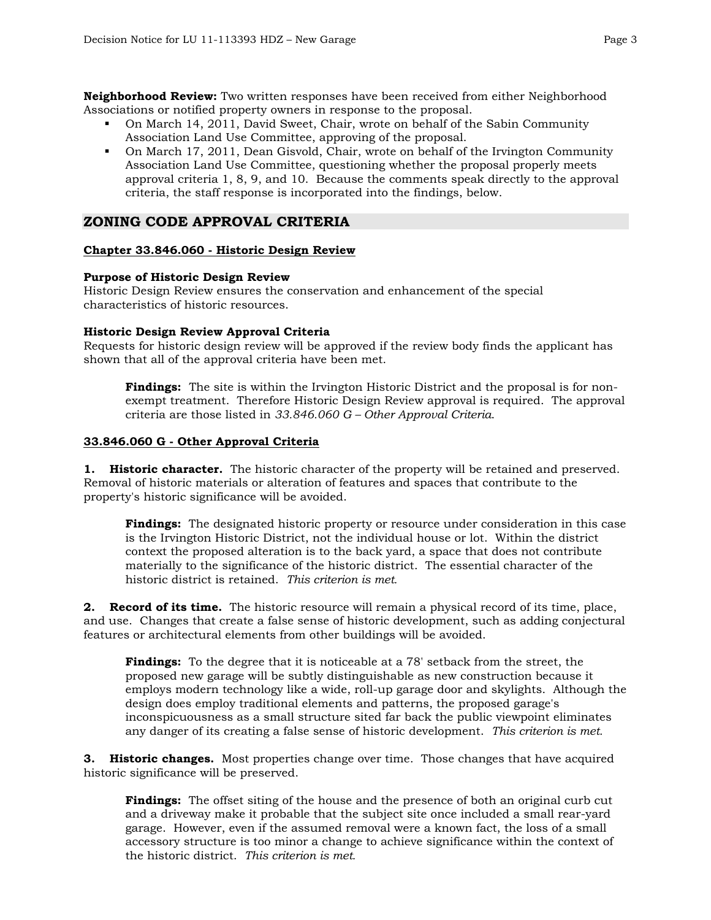**Neighborhood Review:** Two written responses have been received from either Neighborhood Associations or notified property owners in response to the proposal.

- On March 14, 2011, David Sweet, Chair, wrote on behalf of the Sabin Community Association Land Use Committee, approving of the proposal.
- On March 17, 2011, Dean Gisvold, Chair, wrote on behalf of the Irvington Community Association Land Use Committee, questioning whether the proposal properly meets approval criteria 1, 8, 9, and 10. Because the comments speak directly to the approval criteria, the staff response is incorporated into the findings, below.

## **ZONING CODE APPROVAL CRITERIA**

#### **Chapter 33.846.060 - Historic Design Review**

#### **Purpose of Historic Design Review**

Historic Design Review ensures the conservation and enhancement of the special characteristics of historic resources.

#### **Historic Design Review Approval Criteria**

Requests for historic design review will be approved if the review body finds the applicant has shown that all of the approval criteria have been met.

**Findings:** The site is within the Irvington Historic District and the proposal is for nonexempt treatment. Therefore Historic Design Review approval is required. The approval criteria are those listed in *33.846.060 G – Other Approval Criteria*.

#### **33.846.060 G - Other Approval Criteria**

**1. Historic character.** The historic character of the property will be retained and preserved. Removal of historic materials or alteration of features and spaces that contribute to the property's historic significance will be avoided.

**Findings:** The designated historic property or resource under consideration in this case is the Irvington Historic District, not the individual house or lot. Within the district context the proposed alteration is to the back yard, a space that does not contribute materially to the significance of the historic district. The essential character of the historic district is retained. *This criterion is met.* 

**2. Record of its time.** The historic resource will remain a physical record of its time, place, and use. Changes that create a false sense of historic development, such as adding conjectural features or architectural elements from other buildings will be avoided.

**Findings:** To the degree that it is noticeable at a 78' setback from the street, the proposed new garage will be subtly distinguishable as new construction because it employs modern technology like a wide, roll-up garage door and skylights. Although the design does employ traditional elements and patterns, the proposed garage's inconspicuousness as a small structure sited far back the public viewpoint eliminates any danger of its creating a false sense of historic development. *This criterion is met.* 

**3. Historic changes.** Most properties change over time. Those changes that have acquired historic significance will be preserved.

**Findings:** The offset siting of the house and the presence of both an original curb cut and a driveway make it probable that the subject site once included a small rear-yard garage. However, even if the assumed removal were a known fact, the loss of a small accessory structure is too minor a change to achieve significance within the context of the historic district. *This criterion is met.*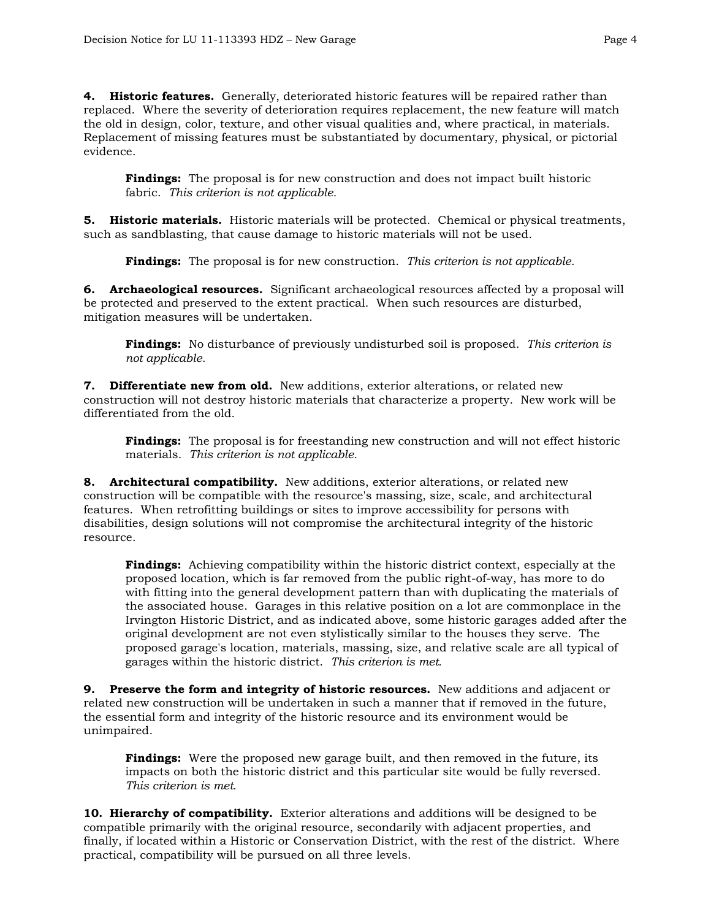**4. Historic features.** Generally, deteriorated historic features will be repaired rather than replaced. Where the severity of deterioration requires replacement, the new feature will match the old in design, color, texture, and other visual qualities and, where practical, in materials. Replacement of missing features must be substantiated by documentary, physical, or pictorial evidence.

**Findings:** The proposal is for new construction and does not impact built historic fabric. *This criterion is not applicable.* 

**5. Historic materials.** Historic materials will be protected. Chemical or physical treatments, such as sandblasting, that cause damage to historic materials will not be used.

**Findings:** The proposal is for new construction. *This criterion is not applicable.*

**6. Archaeological resources.** Significant archaeological resources affected by a proposal will be protected and preserved to the extent practical. When such resources are disturbed, mitigation measures will be undertaken.

**Findings:** No disturbance of previously undisturbed soil is proposed. *This criterion is not applicable.*

**7. Differentiate new from old.** New additions, exterior alterations, or related new construction will not destroy historic materials that characterize a property. New work will be differentiated from the old.

**Findings:** The proposal is for freestanding new construction and will not effect historic materials. *This criterion is not applicable.* 

**8. Architectural compatibility.** New additions, exterior alterations, or related new construction will be compatible with the resource's massing, size, scale, and architectural features. When retrofitting buildings or sites to improve accessibility for persons with disabilities, design solutions will not compromise the architectural integrity of the historic resource.

**Findings:** Achieving compatibility within the historic district context, especially at the proposed location, which is far removed from the public right-of-way, has more to do with fitting into the general development pattern than with duplicating the materials of the associated house. Garages in this relative position on a lot are commonplace in the Irvington Historic District, and as indicated above, some historic garages added after the original development are not even stylistically similar to the houses they serve. The proposed garage's location, materials, massing, size, and relative scale are all typical of garages within the historic district. *This criterion is met.* 

**9. Preserve the form and integrity of historic resources.** New additions and adjacent or related new construction will be undertaken in such a manner that if removed in the future, the essential form and integrity of the historic resource and its environment would be unimpaired.

**Findings:** Were the proposed new garage built, and then removed in the future, its impacts on both the historic district and this particular site would be fully reversed. *This criterion is met.* 

**10. Hierarchy of compatibility.** Exterior alterations and additions will be designed to be compatible primarily with the original resource, secondarily with adjacent properties, and finally, if located within a Historic or Conservation District, with the rest of the district. Where practical, compatibility will be pursued on all three levels.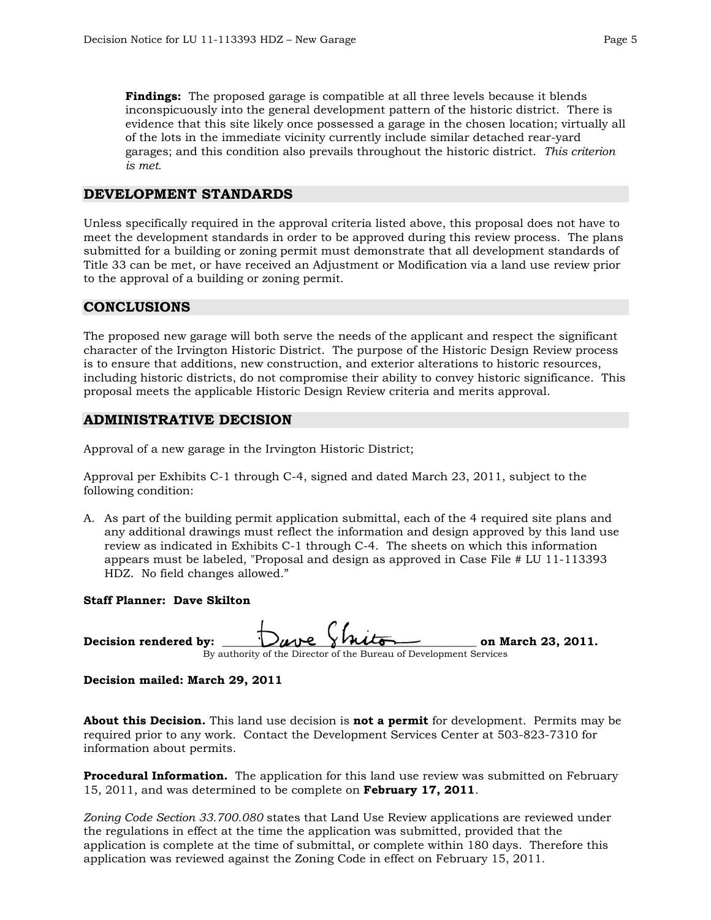**Findings:** The proposed garage is compatible at all three levels because it blends inconspicuously into the general development pattern of the historic district. There is evidence that this site likely once possessed a garage in the chosen location; virtually all of the lots in the immediate vicinity currently include similar detached rear-yard garages; and this condition also prevails throughout the historic district. *This criterion is met.* 

## **DEVELOPMENT STANDARDS**

Unless specifically required in the approval criteria listed above, this proposal does not have to meet the development standards in order to be approved during this review process. The plans submitted for a building or zoning permit must demonstrate that all development standards of Title 33 can be met, or have received an Adjustment or Modification via a land use review prior to the approval of a building or zoning permit.

## **CONCLUSIONS**

The proposed new garage will both serve the needs of the applicant and respect the significant character of the Irvington Historic District. The purpose of the Historic Design Review process is to ensure that additions, new construction, and exterior alterations to historic resources, including historic districts, do not compromise their ability to convey historic significance. This proposal meets the applicable Historic Design Review criteria and merits approval.

## **ADMINISTRATIVE DECISION**

Approval of a new garage in the Irvington Historic District;

Approval per Exhibits C-1 through C-4, signed and dated March 23, 2011, subject to the following condition:

A. As part of the building permit application submittal, each of the 4 required site plans and any additional drawings must reflect the information and design approved by this land use review as indicated in Exhibits C-1 through C-4. The sheets on which this information appears must be labeled, "Proposal and design as approved in Case File # LU 11-113393 HDZ. No field changes allowed."

#### **Staff Planner: Dave Skilton**

| Decision rendered by: Dave Shito |                                                                    | on March 23, 2011. |
|----------------------------------|--------------------------------------------------------------------|--------------------|
|                                  | By authority of the Director of the Bureau of Development Services |                    |

**Decision mailed: March 29, 2011** 

**About this Decision.** This land use decision is **not a permit** for development. Permits may be required prior to any work. Contact the Development Services Center at 503-823-7310 for information about permits.

**Procedural Information.** The application for this land use review was submitted on February 15, 2011, and was determined to be complete on **February 17, 2011**.

*Zoning Code Section 33.700.080* states that Land Use Review applications are reviewed under the regulations in effect at the time the application was submitted, provided that the application is complete at the time of submittal, or complete within 180 days. Therefore this application was reviewed against the Zoning Code in effect on February 15, 2011.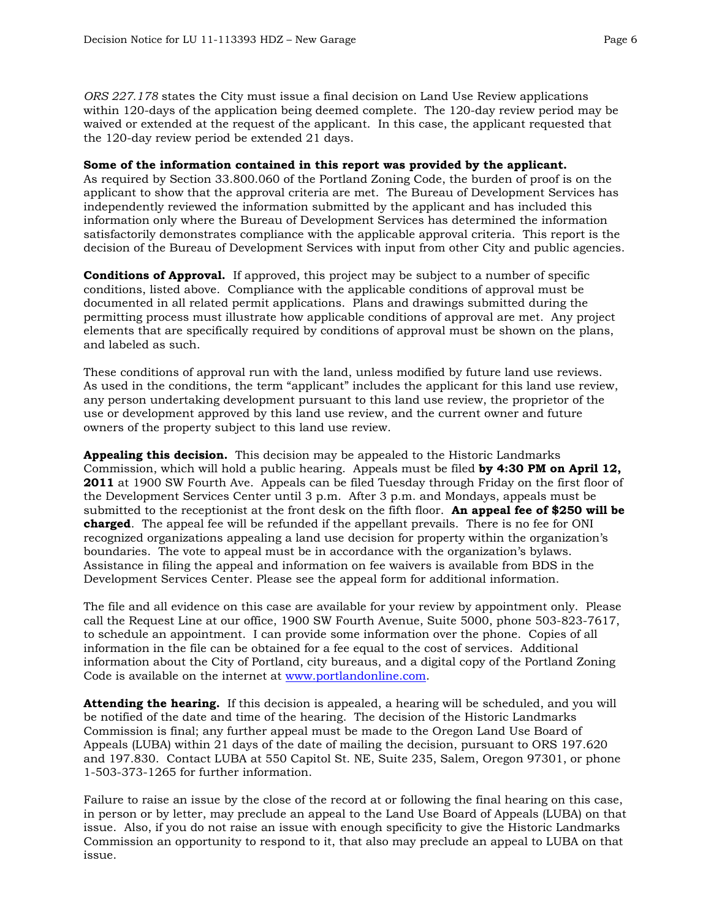*ORS 227.178* states the City must issue a final decision on Land Use Review applications within 120-days of the application being deemed complete. The 120-day review period may be waived or extended at the request of the applicant. In this case, the applicant requested that the 120-day review period be extended 21 days.

#### **Some of the information contained in this report was provided by the applicant.**

As required by Section 33.800.060 of the Portland Zoning Code, the burden of proof is on the applicant to show that the approval criteria are met. The Bureau of Development Services has independently reviewed the information submitted by the applicant and has included this information only where the Bureau of Development Services has determined the information satisfactorily demonstrates compliance with the applicable approval criteria. This report is the decision of the Bureau of Development Services with input from other City and public agencies.

**Conditions of Approval.** If approved, this project may be subject to a number of specific conditions, listed above. Compliance with the applicable conditions of approval must be documented in all related permit applications. Plans and drawings submitted during the permitting process must illustrate how applicable conditions of approval are met. Any project elements that are specifically required by conditions of approval must be shown on the plans, and labeled as such.

These conditions of approval run with the land, unless modified by future land use reviews. As used in the conditions, the term "applicant" includes the applicant for this land use review, any person undertaking development pursuant to this land use review, the proprietor of the use or development approved by this land use review, and the current owner and future owners of the property subject to this land use review.

**Appealing this decision.** This decision may be appealed to the Historic Landmarks Commission, which will hold a public hearing. Appeals must be filed **by 4:30 PM on April 12, 2011** at 1900 SW Fourth Ave. Appeals can be filed Tuesday through Friday on the first floor of the Development Services Center until 3 p.m. After 3 p.m. and Mondays, appeals must be submitted to the receptionist at the front desk on the fifth floor. **An appeal fee of \$250 will be charged**. The appeal fee will be refunded if the appellant prevails. There is no fee for ONI recognized organizations appealing a land use decision for property within the organization's boundaries. The vote to appeal must be in accordance with the organization's bylaws. Assistance in filing the appeal and information on fee waivers is available from BDS in the Development Services Center. Please see the appeal form for additional information.

The file and all evidence on this case are available for your review by appointment only. Please call the Request Line at our office, 1900 SW Fourth Avenue, Suite 5000, phone 503-823-7617, to schedule an appointment. I can provide some information over the phone. Copies of all information in the file can be obtained for a fee equal to the cost of services. Additional information about the City of Portland, city bureaus, and a digital copy of the Portland Zoning Code is available on the internet at [www.portlandonline.com](http://www.ci.portland.or.us/).

**Attending the hearing.** If this decision is appealed, a hearing will be scheduled, and you will be notified of the date and time of the hearing. The decision of the Historic Landmarks Commission is final; any further appeal must be made to the Oregon Land Use Board of Appeals (LUBA) within 21 days of the date of mailing the decision, pursuant to ORS 197.620 and 197.830. Contact LUBA at 550 Capitol St. NE, Suite 235, Salem, Oregon 97301, or phone 1-503-373-1265 for further information.

Failure to raise an issue by the close of the record at or following the final hearing on this case, in person or by letter, may preclude an appeal to the Land Use Board of Appeals (LUBA) on that issue. Also, if you do not raise an issue with enough specificity to give the Historic Landmarks Commission an opportunity to respond to it, that also may preclude an appeal to LUBA on that issue.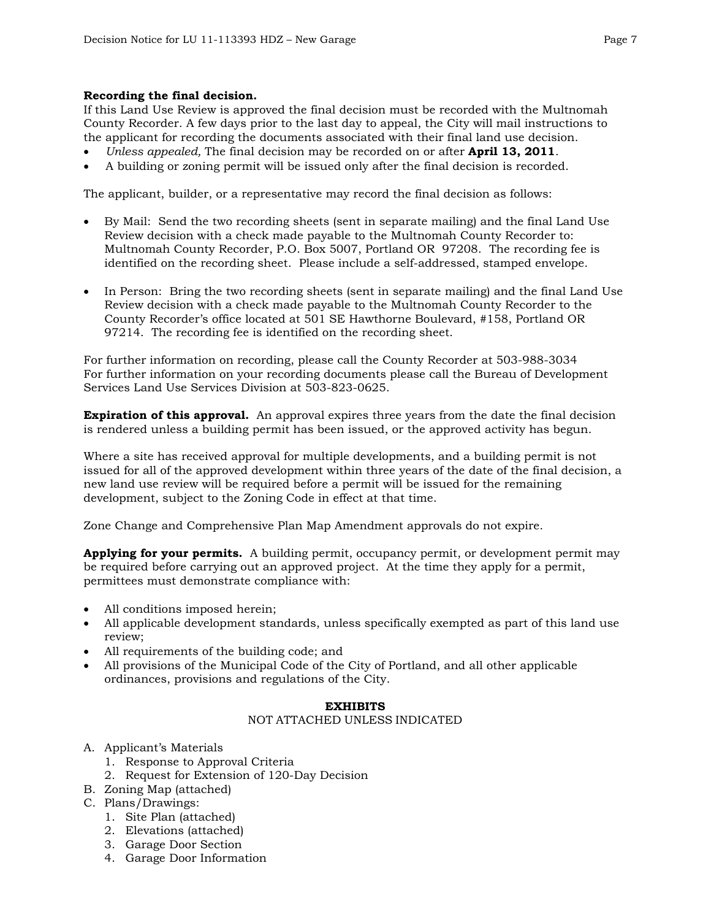#### **Recording the final decision.**

If this Land Use Review is approved the final decision must be recorded with the Multnomah County Recorder. A few days prior to the last day to appeal, the City will mail instructions to the applicant for recording the documents associated with their final land use decision.

- *Unless appealed,* The final decision may be recorded on or after **April 13, 2011**.
- A building or zoning permit will be issued only after the final decision is recorded.

The applicant, builder, or a representative may record the final decision as follows:

- By Mail: Send the two recording sheets (sent in separate mailing) and the final Land Use Review decision with a check made payable to the Multnomah County Recorder to: Multnomah County Recorder, P.O. Box 5007, Portland OR 97208. The recording fee is identified on the recording sheet. Please include a self-addressed, stamped envelope.
- In Person: Bring the two recording sheets (sent in separate mailing) and the final Land Use Review decision with a check made payable to the Multnomah County Recorder to the County Recorder's office located at 501 SE Hawthorne Boulevard, #158, Portland OR 97214. The recording fee is identified on the recording sheet.

For further information on recording, please call the County Recorder at 503-988-3034 For further information on your recording documents please call the Bureau of Development Services Land Use Services Division at 503-823-0625.

**Expiration of this approval.** An approval expires three years from the date the final decision is rendered unless a building permit has been issued, or the approved activity has begun.

Where a site has received approval for multiple developments, and a building permit is not issued for all of the approved development within three years of the date of the final decision, a new land use review will be required before a permit will be issued for the remaining development, subject to the Zoning Code in effect at that time.

Zone Change and Comprehensive Plan Map Amendment approvals do not expire.

**Applying for your permits.** A building permit, occupancy permit, or development permit may be required before carrying out an approved project. At the time they apply for a permit, permittees must demonstrate compliance with:

- All conditions imposed herein;
- All applicable development standards, unless specifically exempted as part of this land use review;
- All requirements of the building code; and
- All provisions of the Municipal Code of the City of Portland, and all other applicable ordinances, provisions and regulations of the City.

## **EXHIBITS**

#### NOT ATTACHED UNLESS INDICATED

- A. Applicant's Materials
	- 1. Response to Approval Criteria
	- 2. Request for Extension of 120-Day Decision
- B. Zoning Map (attached)
- C. Plans/Drawings:
	- 1. Site Plan (attached)
	- 2. Elevations (attached)
	- 3. Garage Door Section
	- 4. Garage Door Information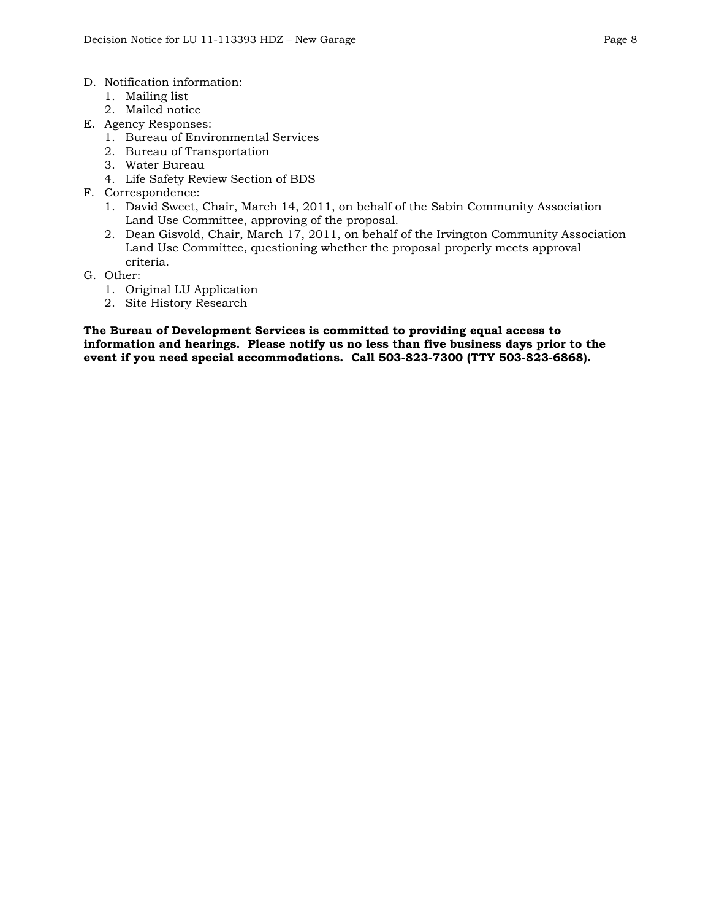- D. Notification information:
	- 1. Mailing list
	- 2. Mailed notice
- E. Agency Responses:
	- 1. Bureau of Environmental Services
	- 2. Bureau of Transportation
	- 3. Water Bureau
	- 4. Life Safety Review Section of BDS
- F. Correspondence:
	- 1. David Sweet, Chair, March 14, 2011, on behalf of the Sabin Community Association Land Use Committee, approving of the proposal.
	- 2. Dean Gisvold, Chair, March 17, 2011, on behalf of the Irvington Community Association Land Use Committee, questioning whether the proposal properly meets approval criteria.
- G. Other:
	- 1. Original LU Application
	- 2. Site History Research

**The Bureau of Development Services is committed to providing equal access to information and hearings. Please notify us no less than five business days prior to the event if you need special accommodations. Call 503-823-7300 (TTY 503-823-6868).**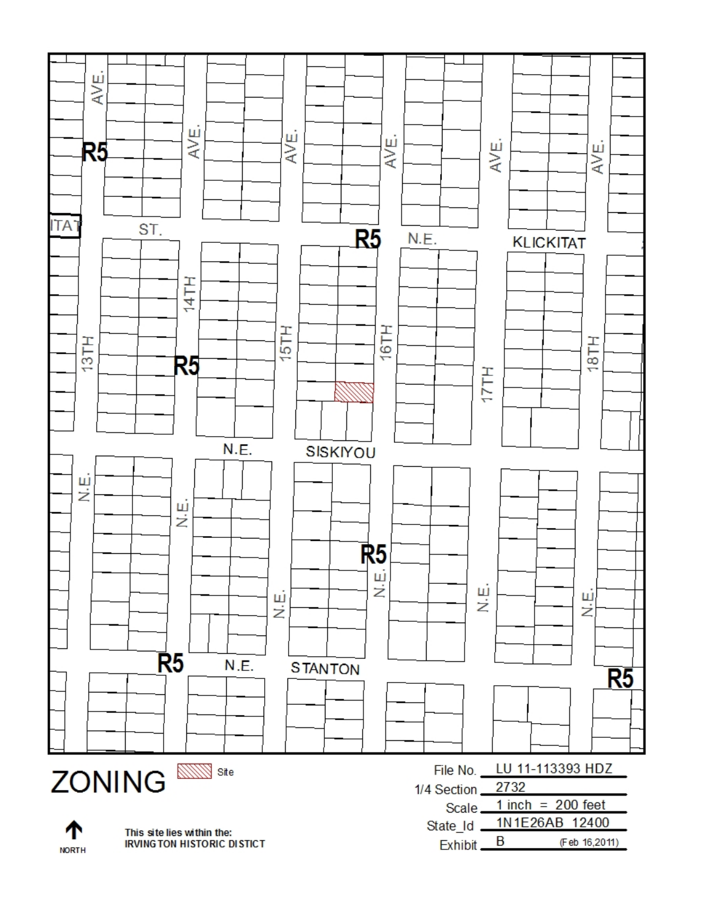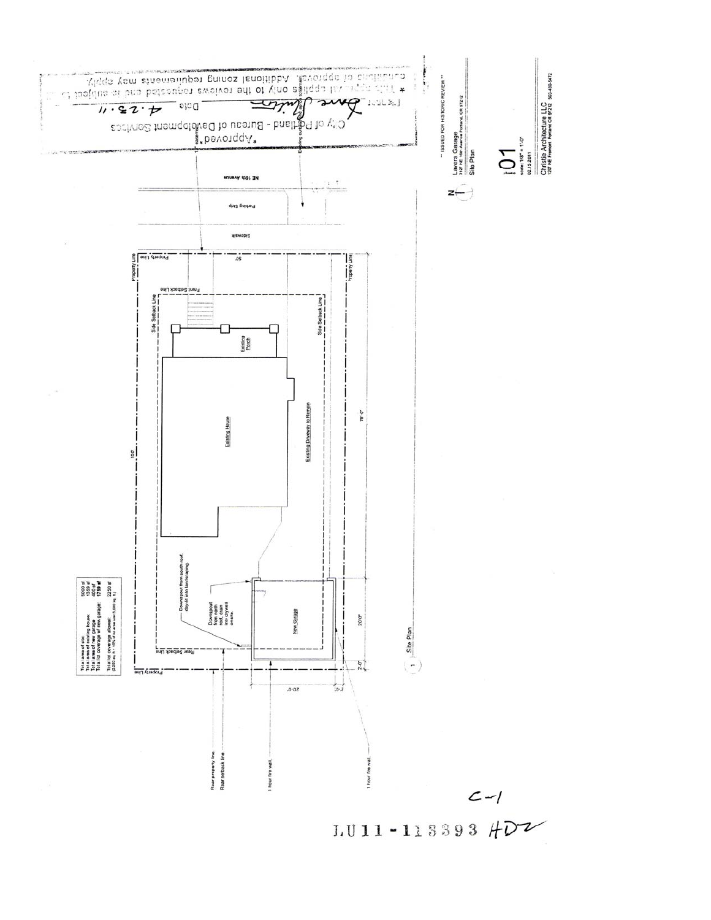

 $1.011 - 113393$   $#D2$